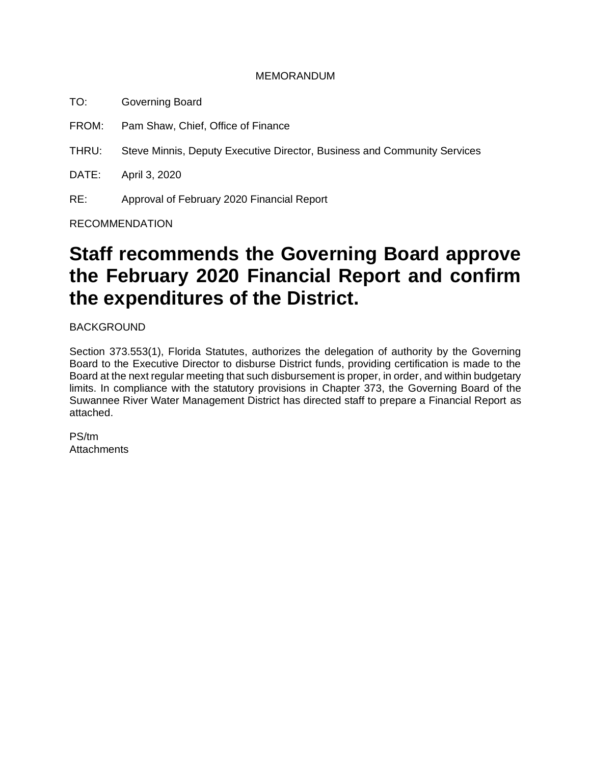#### MEMORANDUM

- TO: Governing Board
- FROM: Pam Shaw, Chief, Office of Finance
- THRU: Steve Minnis, Deputy Executive Director, Business and Community Services

DATE: April 3, 2020

RE: Approval of February 2020 Financial Report

RECOMMENDATION

# **Staff recommends the Governing Board approve the February 2020 Financial Report and confirm the expenditures of the District.**

BACKGROUND

Section 373.553(1), Florida Statutes, authorizes the delegation of authority by the Governing Board to the Executive Director to disburse District funds, providing certification is made to the Board at the next regular meeting that such disbursement is proper, in order, and within budgetary limits. In compliance with the statutory provisions in Chapter 373, the Governing Board of the Suwannee River Water Management District has directed staff to prepare a Financial Report as attached.

PS/tm **Attachments**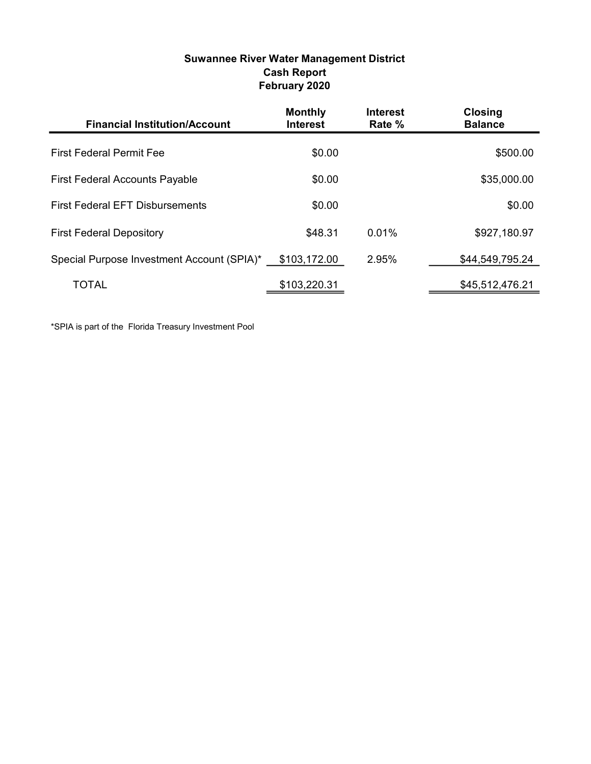| Suwannee River Water Management District |
|------------------------------------------|
| <b>Cash Report</b>                       |
| February 2020                            |

| <b>Financial Institution/Account</b>       | <b>Monthly</b><br><b>Interest</b> | <b>Interest</b><br>Rate % | <b>Closing</b><br><b>Balance</b> |
|--------------------------------------------|-----------------------------------|---------------------------|----------------------------------|
| <b>First Federal Permit Fee</b>            | \$0.00                            |                           | \$500.00                         |
| <b>First Federal Accounts Payable</b>      | \$0.00                            |                           | \$35,000.00                      |
| <b>First Federal EFT Disbursements</b>     | \$0.00                            |                           | \$0.00                           |
| <b>First Federal Depository</b>            | \$48.31                           | $0.01\%$                  | \$927,180.97                     |
| Special Purpose Investment Account (SPIA)* | \$103,172.00                      | 2.95%                     | \$44,549,795.24                  |
| TOTAL                                      | \$103,220.31                      |                           | \$45,512,476.21                  |

\*SPIA is part of the Florida Treasury Investment Pool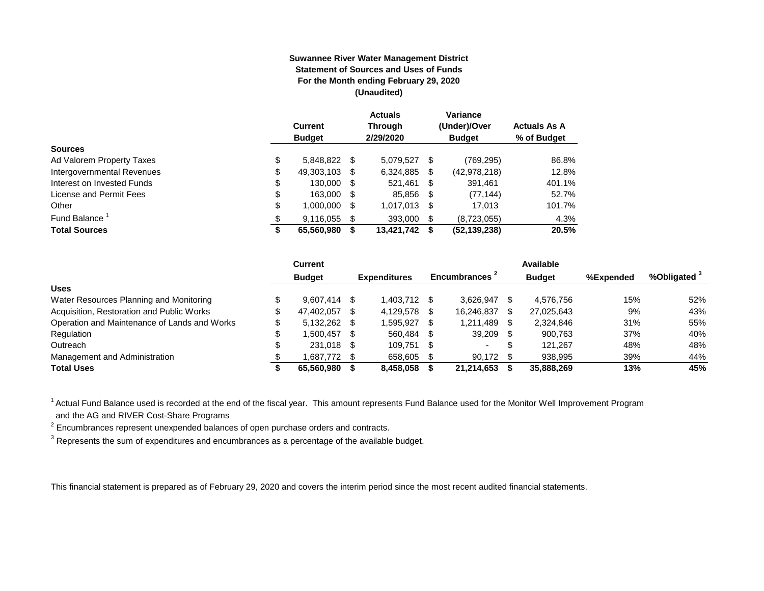#### **Suwannee River Water Management District Statement of Sources and Uses of Funds For the Month ending February 29, 2020 (Unaudited)**

|                            |        | <b>Current</b><br><b>Budget</b> |      | <b>Actuals</b><br><b>Through</b><br>2/29/2020 |      | Variance<br>(Under)/Over<br><b>Budget</b> | <b>Actuals As A</b><br>% of Budget |
|----------------------------|--------|---------------------------------|------|-----------------------------------------------|------|-------------------------------------------|------------------------------------|
| <b>Sources</b>             |        |                                 |      |                                               |      |                                           |                                    |
| Ad Valorem Property Taxes  | \$     | 5.848.822 \$                    |      | 5.079.527                                     | \$   | (769, 295)                                | 86.8%                              |
| Intergovernmental Revenues | \$     | 49,303,103                      | -S   | 6,324,885                                     | \$   | (42, 978, 218)                            | 12.8%                              |
| Interest on Invested Funds | \$     | 130,000                         | - \$ | 521,461                                       | -\$  | 391,461                                   | 401.1%                             |
| License and Permit Fees    | \$     | 163,000 \$                      |      | 85.856                                        | - \$ | (77, 144)                                 | 52.7%                              |
| Other                      | \$     | 1,000,000                       | S    | 1,017,013                                     | -S   | 17,013                                    | 101.7%                             |
| Fund Balance               | \$     | 9,116,055                       | \$.  | 393,000                                       | \$   | (8,723,055)                               | 4.3%                               |
| <b>Total Sources</b>       | œ<br>Φ | 65,560,980                      |      | 13,421,742                                    | S    | (52, 139, 238)                            | 20.5%                              |

|                                              | <b>Current</b>     |      |                     |      |                          |    | Available     |           |                         |
|----------------------------------------------|--------------------|------|---------------------|------|--------------------------|----|---------------|-----------|-------------------------|
|                                              | <b>Budget</b>      |      | <b>Expenditures</b> |      | Encumbrances 2           |    | <b>Budget</b> | %Expended | %Obligated <sup>3</sup> |
| <b>Uses</b>                                  |                    |      |                     |      |                          |    |               |           |                         |
| Water Resources Planning and Monitoring      | $9.607.414$ \$     |      | 1.403.712           |      | 3.626.947                |    | 4.576.756     | 15%       | 52%                     |
| Acquisition, Restoration and Public Works    | 47.402.057         | -SS  | 4.129.578           |      | 16.246.837               |    | 27.025.643    | 9%        | 43%                     |
| Operation and Maintenance of Lands and Works | \$<br>5,132,262 \$ |      | 1,595,927           |      | 1,211,489                |    | 2,324,846     | 31%       | 55%                     |
| Regulation                                   | 1.500.457          | - \$ | 560.484             | - \$ | 39,209                   |    | 900.763       | 37%       | 40%                     |
| Outreach                                     | 231,018 \$         |      | 109.751             | - \$ | $\overline{\phantom{a}}$ | -S | 121.267       | 48%       | 48%                     |
| Management and Administration                | 1,687,772 \$       |      | 658,605             |      | 90.172                   |    | 938,995       | 39%       | 44%                     |
| <b>Total Uses</b>                            | 65.560.980         |      | 8.458.058           |      | 21.214.653               |    | 35,888,269    | 13%       | 45%                     |

<sup>1</sup> Actual Fund Balance used is recorded at the end of the fiscal year. This amount represents Fund Balance used for the Monitor Well Improvement Program and the AG and RIVER Cost-Share Programs

 $2$  Encumbrances represent unexpended balances of open purchase orders and contracts.

 $^3$  Represents the sum of expenditures and encumbrances as a percentage of the available budget.

This financial statement is prepared as of February 29, 2020 and covers the interim period since the most recent audited financial statements.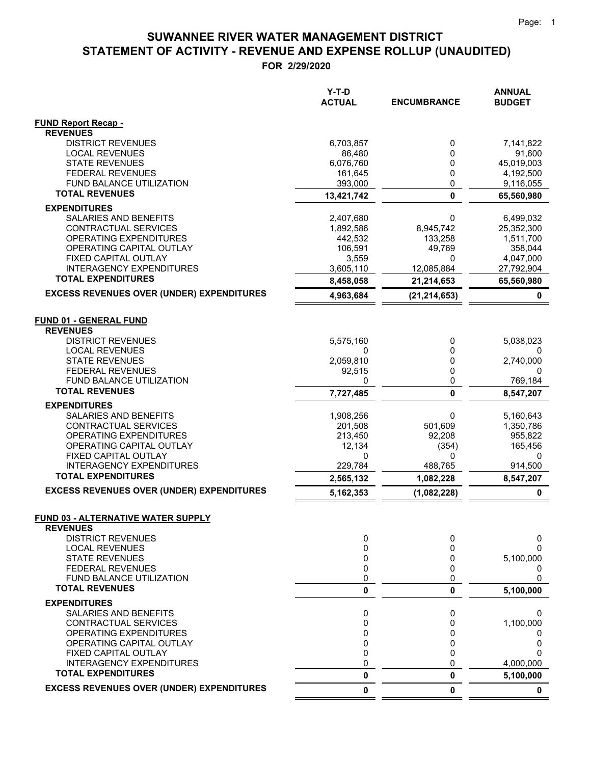**FOR 2/29/2020**

|                                                                                          | Y-T-D<br><b>ACTUAL</b> | <b>ENCUMBRANCE</b> | <b>ANNUAL</b><br><b>BUDGET</b> |
|------------------------------------------------------------------------------------------|------------------------|--------------------|--------------------------------|
| <b>FUND Report Recap -</b>                                                               |                        |                    |                                |
| <b>REVENUES</b>                                                                          |                        |                    |                                |
| <b>DISTRICT REVENUES</b>                                                                 | 6,703,857              | 0                  | 7,141,822                      |
| <b>LOCAL REVENUES</b>                                                                    | 86,480                 | 0                  | 91,600                         |
| <b>STATE REVENUES</b><br><b>FEDERAL REVENUES</b>                                         | 6,076,760<br>161,645   | 0<br>0             | 45,019,003<br>4,192,500        |
| FUND BALANCE UTILIZATION                                                                 | 393,000                | 0                  | 9,116,055                      |
| <b>TOTAL REVENUES</b>                                                                    | 13,421,742             | $\mathbf 0$        | 65,560,980                     |
| <b>EXPENDITURES</b>                                                                      |                        |                    |                                |
| SALARIES AND BENEFITS                                                                    | 2,407,680              | 0                  | 6,499,032                      |
| CONTRACTUAL SERVICES                                                                     | 1,892,586              | 8,945,742          | 25,352,300                     |
| OPERATING EXPENDITURES                                                                   | 442,532                | 133,258            | 1,511,700                      |
| OPERATING CAPITAL OUTLAY                                                                 | 106,591                | 49,769             | 358,044                        |
| FIXED CAPITAL OUTLAY                                                                     | 3,559                  | 0                  | 4,047,000                      |
| <b>INTERAGENCY EXPENDITURES</b>                                                          | 3,605,110              | 12,085,884         | 27,792,904                     |
| <b>TOTAL EXPENDITURES</b>                                                                | 8,458,058              | 21,214,653         | 65,560,980                     |
| <b>EXCESS REVENUES OVER (UNDER) EXPENDITURES</b>                                         | 4,963,684              | (21, 214, 653)     | 0                              |
| <b>FUND 01 - GENERAL FUND</b><br><b>REVENUES</b><br><b>DISTRICT REVENUES</b>             | 5,575,160              | 0                  | 5,038,023                      |
| <b>LOCAL REVENUES</b>                                                                    | 0                      | 0                  | 0                              |
| <b>STATE REVENUES</b>                                                                    | 2,059,810              | 0                  | 2,740,000                      |
| <b>FEDERAL REVENUES</b>                                                                  | 92,515                 | 0                  | 0                              |
| <b>FUND BALANCE UTILIZATION</b>                                                          | 0                      | 0                  | 769,184                        |
| <b>TOTAL REVENUES</b>                                                                    | 7,727,485              | 0                  | 8,547,207                      |
| <b>EXPENDITURES</b>                                                                      |                        |                    |                                |
| SALARIES AND BENEFITS                                                                    | 1,908,256              | 0                  | 5,160,643                      |
| CONTRACTUAL SERVICES                                                                     | 201,508                | 501,609            | 1,350,786                      |
| OPERATING EXPENDITURES                                                                   | 213,450                | 92,208             | 955,822                        |
| OPERATING CAPITAL OUTLAY                                                                 | 12,134                 | (354)              | 165,456                        |
| FIXED CAPITAL OUTLAY<br><b>INTERAGENCY EXPENDITURES</b>                                  | 0<br>229,784           | 0<br>488,765       | 0<br>914,500                   |
| <b>TOTAL EXPENDITURES</b>                                                                | 2,565,132              | 1,082,228          | 8,547,207                      |
| <b>EXCESS REVENUES OVER (UNDER) EXPENDITURES</b>                                         | 5,162,353              | (1,082,228)        | $\pmb{0}$                      |
| <b>FUND 03 - ALTERNATIVE WATER SUPPLY</b><br><b>REVENUES</b><br><b>DISTRICT REVENUES</b> |                        |                    |                                |
| <b>LOCAL REVENUES</b>                                                                    | 0<br>0                 | 0<br>0             | 0<br>O                         |
| <b>STATE REVENUES</b>                                                                    | 0                      | 0                  | 5,100,000                      |
| <b>FEDERAL REVENUES</b>                                                                  | 0                      | 0                  | 0                              |
| FUND BALANCE UTILIZATION                                                                 | 0                      | 0                  | 0                              |
| <b>TOTAL REVENUES</b>                                                                    | 0                      | 0                  | 5,100,000                      |
| <b>EXPENDITURES</b>                                                                      |                        |                    |                                |
| SALARIES AND BENEFITS                                                                    | 0                      | 0                  | 0                              |
| CONTRACTUAL SERVICES                                                                     | 0                      | 0                  | 1,100,000                      |
| OPERATING EXPENDITURES                                                                   | 0                      | 0                  |                                |
| OPERATING CAPITAL OUTLAY                                                                 | 0                      | 0                  | 0                              |
| FIXED CAPITAL OUTLAY<br><b>INTERAGENCY EXPENDITURES</b>                                  | 0<br>0                 | 0<br>$\Omega$      | ი                              |
| <b>TOTAL EXPENDITURES</b>                                                                | 0                      | 0                  | 4,000,000                      |
| <b>EXCESS REVENUES OVER (UNDER) EXPENDITURES</b>                                         | 0                      | 0                  | 5,100,000<br>$\mathbf 0$       |
|                                                                                          |                        |                    |                                |

 $\equiv$ 

 $=$   $=$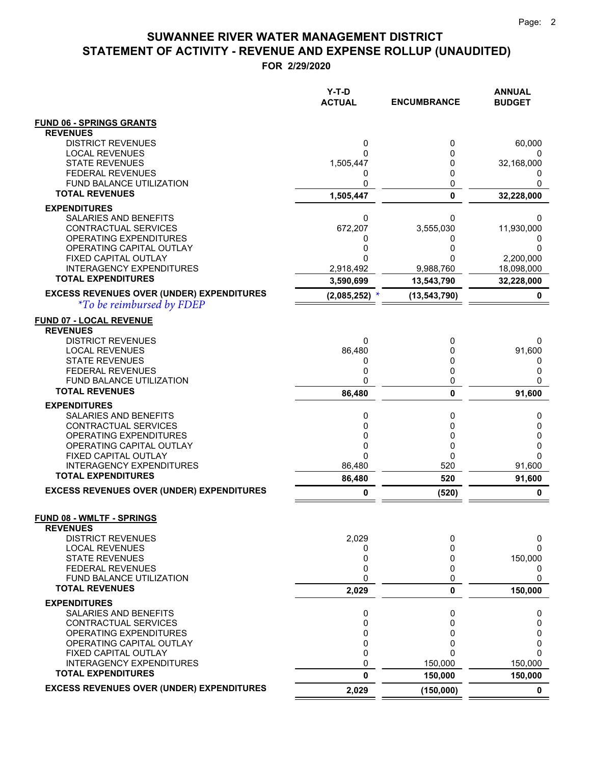**FOR 2/29/2020**

|                                                         | Y-T-D<br><b>ACTUAL</b> | <b>ENCUMBRANCE</b> | <b>ANNUAL</b><br><b>BUDGET</b> |
|---------------------------------------------------------|------------------------|--------------------|--------------------------------|
| <b>FUND 06 - SPRINGS GRANTS</b>                         |                        |                    |                                |
| <b>REVENUES</b>                                         |                        |                    |                                |
| <b>DISTRICT REVENUES</b>                                | 0                      | 0                  | 60,000                         |
| <b>LOCAL REVENUES</b><br><b>STATE REVENUES</b>          | 0<br>1,505,447         | 0<br>0             | 0<br>32,168,000                |
| <b>FEDERAL REVENUES</b>                                 | 0                      | 0                  | $\Omega$                       |
| FUND BALANCE UTILIZATION                                | 0                      | 0                  | 0                              |
| <b>TOTAL REVENUES</b>                                   | 1,505,447              | $\mathbf 0$        | 32,228,000                     |
| <b>EXPENDITURES</b>                                     |                        |                    |                                |
| SALARIES AND BENEFITS                                   | 0                      | 0                  | 0                              |
| CONTRACTUAL SERVICES                                    | 672,207                | 3,555,030          | 11,930,000                     |
| OPERATING EXPENDITURES<br>OPERATING CAPITAL OUTLAY      | 0<br>0                 | 0<br>0             | 0                              |
| FIXED CAPITAL OUTLAY                                    | 0                      |                    | 2,200,000                      |
| <b>INTERAGENCY EXPENDITURES</b>                         | 2,918,492              | 9,988,760          | 18,098,000                     |
| <b>TOTAL EXPENDITURES</b>                               | 3,590,699              | 13,543,790         | 32,228,000                     |
| <b>EXCESS REVENUES OVER (UNDER) EXPENDITURES</b>        | $(2,085,252)$ *        | (13, 543, 790)     | 0                              |
| <i><b>*To be reimbursed by FDEP</b></i>                 |                        |                    |                                |
| <b>FUND 07 - LOCAL REVENUE</b>                          |                        |                    |                                |
| <b>REVENUES</b>                                         |                        |                    |                                |
| <b>DISTRICT REVENUES</b>                                | 0                      | 0                  | 0                              |
| <b>LOCAL REVENUES</b><br><b>STATE REVENUES</b>          | 86,480<br>0            | 0<br>0             | 91,600<br>0                    |
| <b>FEDERAL REVENUES</b>                                 | 0                      | 0                  | 0                              |
| <b>FUND BALANCE UTILIZATION</b>                         | 0                      | 0                  | 0                              |
| <b>TOTAL REVENUES</b>                                   | 86,480                 | $\mathbf{0}$       | 91,600                         |
| <b>EXPENDITURES</b>                                     |                        |                    |                                |
| SALARIES AND BENEFITS                                   | 0                      | 0                  | 0                              |
| CONTRACTUAL SERVICES                                    | 0                      | 0                  | 0                              |
| OPERATING EXPENDITURES<br>OPERATING CAPITAL OUTLAY      | 0<br>0                 | 0<br>0             | 0<br>0                         |
| FIXED CAPITAL OUTLAY                                    | 0                      | 0                  | 0                              |
| <b>INTERAGENCY EXPENDITURES</b>                         | 86,480                 | 520                | 91,600                         |
| <b>TOTAL EXPENDITURES</b>                               | 86,480                 | 520                | 91,600                         |
| <b>EXCESS REVENUES OVER (UNDER) EXPENDITURES</b>        | 0                      | (520)              | 0                              |
| FUND 08 - WMLTF - SPRINGS                               |                        |                    |                                |
| <b>REVENUES</b>                                         |                        |                    |                                |
| <b>DISTRICT REVENUES</b>                                | 2,029                  | 0                  | 0                              |
| <b>LOCAL REVENUES</b>                                   | 0                      | 0                  | 0                              |
| <b>STATE REVENUES</b>                                   | 0                      | 0                  | 150,000                        |
| <b>FEDERAL REVENUES</b><br>FUND BALANCE UTILIZATION     | 0<br>0                 | 0<br>0             | 0<br>0                         |
| <b>TOTAL REVENUES</b>                                   | 2,029                  | 0                  | 150,000                        |
| <b>EXPENDITURES</b>                                     |                        |                    |                                |
| SALARIES AND BENEFITS                                   | 0                      | 0                  | 0                              |
| CONTRACTUAL SERVICES                                    | 0                      | 0                  | 0                              |
| OPERATING EXPENDITURES                                  | 0                      | 0                  | 0                              |
| OPERATING CAPITAL OUTLAY                                | 0                      | 0<br>$\Omega$      | 0                              |
| FIXED CAPITAL OUTLAY<br><b>INTERAGENCY EXPENDITURES</b> | 0<br>0                 | 150,000            | 0<br>150,000                   |
| <b>TOTAL EXPENDITURES</b>                               | 0                      | 150,000            | 150,000                        |
| <b>EXCESS REVENUES OVER (UNDER) EXPENDITURES</b>        | 2,029                  | (150,000)          | $\mathbf 0$                    |

 $=$  $\equiv$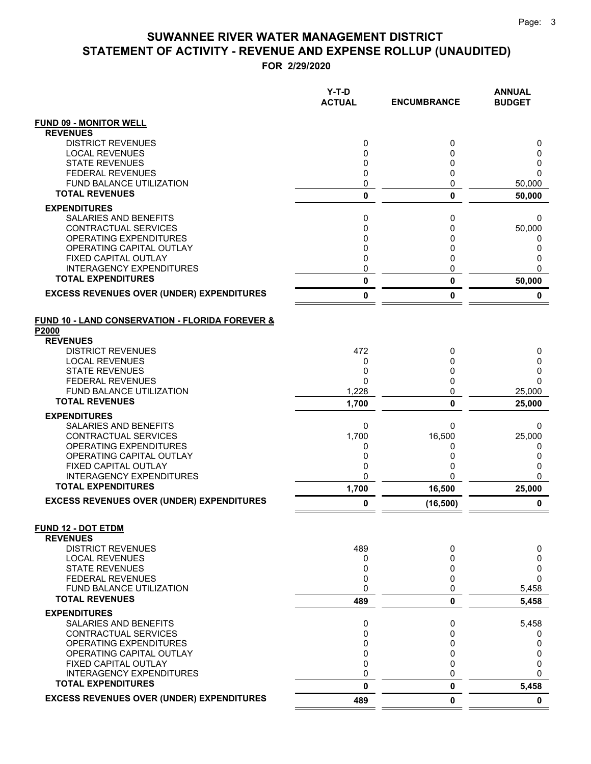**FOR 2/29/2020**

|                                                                     | $Y-T-D$<br><b>ACTUAL</b> | <b>ENCUMBRANCE</b> | <b>ANNUAL</b><br><b>BUDGET</b> |
|---------------------------------------------------------------------|--------------------------|--------------------|--------------------------------|
| <b>FUND 09 - MONITOR WELL</b>                                       |                          |                    |                                |
| <b>REVENUES</b>                                                     |                          |                    |                                |
| <b>DISTRICT REVENUES</b>                                            | 0                        | 0                  | 0                              |
| <b>LOCAL REVENUES</b><br><b>STATE REVENUES</b>                      | 0<br>0                   | $\Omega$<br>0      | 0<br>0                         |
| <b>FEDERAL REVENUES</b>                                             | 0                        | 0                  | 0                              |
| <b>FUND BALANCE UTILIZATION</b>                                     | 0                        | 0                  | 50,000                         |
| <b>TOTAL REVENUES</b>                                               | 0                        | 0                  | 50,000                         |
| <b>EXPENDITURES</b>                                                 |                          |                    |                                |
| <b>SALARIES AND BENEFITS</b>                                        | 0                        | 0                  | 0                              |
| CONTRACTUAL SERVICES                                                | $\mathbf 0$              | $\Omega$           | 50,000                         |
| OPERATING EXPENDITURES<br>OPERATING CAPITAL OUTLAY                  | 0<br>0                   | 0<br>0             | 0<br>0                         |
| FIXED CAPITAL OUTLAY                                                | $\mathbf 0$              | 0                  | 0                              |
| <b>INTERAGENCY EXPENDITURES</b>                                     | 0                        | 0                  | 0                              |
| <b>TOTAL EXPENDITURES</b>                                           | 0                        | 0                  | 50,000                         |
| <b>EXCESS REVENUES OVER (UNDER) EXPENDITURES</b>                    | 0                        | 0                  | 0                              |
| <b>FUND 10 - LAND CONSERVATION - FLORIDA FOREVER &amp;</b><br>P2000 |                          |                    |                                |
| <b>REVENUES</b>                                                     |                          |                    |                                |
| <b>DISTRICT REVENUES</b><br><b>LOCAL REVENUES</b>                   | 472                      | 0<br>$\Omega$      | 0                              |
| <b>STATE REVENUES</b>                                               | 0<br>0                   | 0                  | 0<br>0                         |
| <b>FEDERAL REVENUES</b>                                             | $\Omega$                 | 0                  | 0                              |
| FUND BALANCE UTILIZATION                                            | 1,228                    | 0                  | 25,000                         |
| <b>TOTAL REVENUES</b>                                               | 1,700                    | 0                  | 25,000                         |
| <b>EXPENDITURES</b>                                                 |                          |                    |                                |
| <b>SALARIES AND BENEFITS</b>                                        | 0                        | 0                  | 0                              |
| CONTRACTUAL SERVICES<br>OPERATING EXPENDITURES                      | 1,700<br>0               | 16,500<br>0        | 25,000                         |
| OPERATING CAPITAL OUTLAY                                            | 0                        | 0                  | 0<br>0                         |
| FIXED CAPITAL OUTLAY                                                | 0                        | 0                  | 0                              |
| <b>INTERAGENCY EXPENDITURES</b>                                     | 0                        | 0                  | 0                              |
| <b>TOTAL EXPENDITURES</b>                                           | 1,700                    | 16,500             | 25,000                         |
| <b>EXCESS REVENUES OVER (UNDER) EXPENDITURES</b>                    | 0                        | (16, 500)          | 0                              |
| <b>FUND 12 - DOT ETDM</b><br><b>REVENUES</b>                        |                          |                    |                                |
| <b>DISTRICT REVENUES</b>                                            | 489                      | 0                  | 0                              |
| <b>LOCAL REVENUES</b>                                               | 0                        | 0                  | 0                              |
| <b>STATE REVENUES</b>                                               | 0                        | 0                  | 0                              |
| <b>FEDERAL REVENUES</b><br><b>FUND BALANCE UTILIZATION</b>          | 0<br>0                   | 0<br>0             | 0                              |
| <b>TOTAL REVENUES</b>                                               | 489                      | 0                  | 5,458<br>5,458                 |
| <b>EXPENDITURES</b>                                                 |                          |                    |                                |
| SALARIES AND BENEFITS                                               | 0                        | 0                  | 5,458                          |
| CONTRACTUAL SERVICES                                                | 0                        | $\Omega$           | 0                              |
| <b>OPERATING EXPENDITURES</b><br>OPERATING CAPITAL OUTLAY           | 0<br>$\mathbf 0$         | 0<br>0             | 0<br>0                         |
| <b>FIXED CAPITAL OUTLAY</b>                                         | 0                        | 0                  | 0                              |
| <b>INTERAGENCY EXPENDITURES</b>                                     | 0                        | 0                  | 0                              |
| <b>TOTAL EXPENDITURES</b>                                           | 0                        | 0                  | 5,458                          |
| <b>EXCESS REVENUES OVER (UNDER) EXPENDITURES</b>                    | 489                      | 0                  | $\mathbf 0$                    |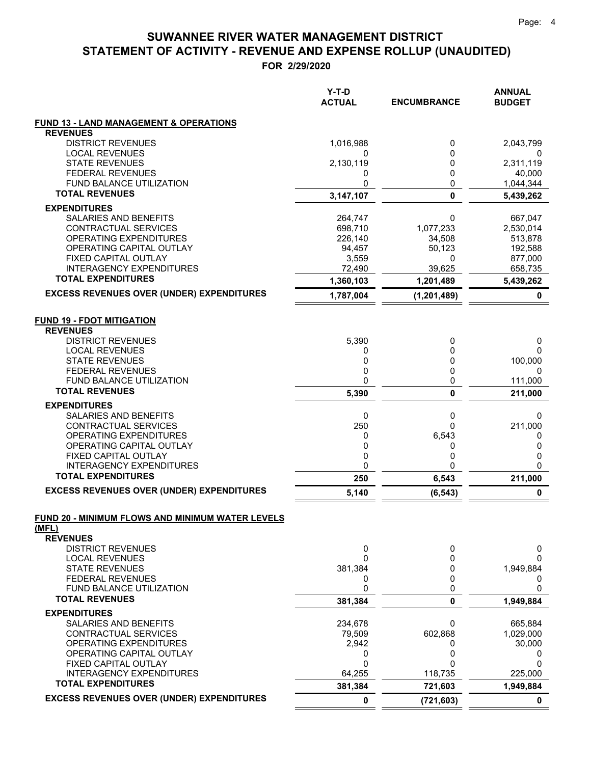**FOR 2/29/2020**

|                                                     | $Y-T-D$<br><b>ACTUAL</b> | <b>ENCUMBRANCE</b> | <b>ANNUAL</b><br><b>BUDGET</b> |
|-----------------------------------------------------|--------------------------|--------------------|--------------------------------|
| <b>FUND 13 - LAND MANAGEMENT &amp; OPERATIONS</b>   |                          |                    |                                |
| <b>REVENUES</b>                                     |                          |                    |                                |
| <b>DISTRICT REVENUES</b>                            | 1,016,988                | 0                  | 2,043,799                      |
| <b>LOCAL REVENUES</b>                               | 0                        | 0                  | 0                              |
| <b>STATE REVENUES</b><br><b>FEDERAL REVENUES</b>    | 2,130,119<br>0           | 0<br>0             | 2,311,119<br>40,000            |
| <b>FUND BALANCE UTILIZATION</b>                     | 0                        | 0                  | 1,044,344                      |
| <b>TOTAL REVENUES</b>                               | 3,147,107                | $\mathbf 0$        | 5,439,262                      |
| <b>EXPENDITURES</b>                                 |                          |                    |                                |
| SALARIES AND BENEFITS                               | 264,747                  | 0                  | 667,047                        |
| <b>CONTRACTUAL SERVICES</b>                         | 698,710                  | 1,077,233          | 2,530,014                      |
| <b>OPERATING EXPENDITURES</b>                       | 226,140                  | 34,508             | 513,878                        |
| OPERATING CAPITAL OUTLAY                            | 94,457                   | 50,123             | 192,588                        |
| FIXED CAPITAL OUTLAY                                | 3,559                    | 0                  | 877,000                        |
| <b>INTERAGENCY EXPENDITURES</b>                     | 72,490                   | 39,625             | 658,735                        |
| <b>TOTAL EXPENDITURES</b>                           | 1,360,103                | 1,201,489          | 5,439,262                      |
| <b>EXCESS REVENUES OVER (UNDER) EXPENDITURES</b>    | 1,787,004                | (1, 201, 489)      | 0                              |
| <b>FUND 19 - FDOT MITIGATION</b><br><b>REVENUES</b> |                          |                    |                                |
| <b>DISTRICT REVENUES</b>                            | 5,390                    | 0                  | 0                              |
| <b>LOCAL REVENUES</b>                               | 0                        | 0                  | 0                              |
| <b>STATE REVENUES</b>                               | 0                        | 0                  | 100,000                        |
| <b>FEDERAL REVENUES</b>                             | 0                        | 0                  | 0                              |
| FUND BALANCE UTILIZATION                            | 0                        | 0                  | 111,000                        |
| <b>TOTAL REVENUES</b>                               | 5,390                    | 0                  | 211,000                        |
| <b>EXPENDITURES</b>                                 |                          |                    |                                |
| SALARIES AND BENEFITS                               | 0                        | 0                  | 0                              |
| CONTRACTUAL SERVICES<br>OPERATING EXPENDITURES      | 250                      | 0<br>6,543         | 211,000                        |
| OPERATING CAPITAL OUTLAY                            | 0<br>0                   | 0                  | 0<br>0                         |
| FIXED CAPITAL OUTLAY                                | 0                        | 0                  | 0                              |
| <b>INTERAGENCY EXPENDITURES</b>                     | 0                        | 0                  | 0                              |
| <b>TOTAL EXPENDITURES</b>                           | 250                      | 6,543              | 211,000                        |
| <b>EXCESS REVENUES OVER (UNDER) EXPENDITURES</b>    | 5,140                    | (6, 543)           | 0                              |
| FUND 20 - MINIMUM FLOWS AND MINIMUM WATER LEVELS    |                          |                    |                                |
| (MFL)                                               |                          |                    |                                |
| <b>REVENUES</b>                                     |                          |                    |                                |
| <b>DISTRICT REVENUES</b><br><b>LOCAL REVENUES</b>   | 0<br>0                   | 0<br>0             | 0<br>0                         |
| <b>STATE REVENUES</b>                               | 381,384                  | 0                  | 1,949,884                      |
| <b>FEDERAL REVENUES</b>                             | 0                        | 0                  | 0                              |
| FUND BALANCE UTILIZATION                            | 0                        | 0                  | 0                              |
| <b>TOTAL REVENUES</b>                               | 381,384                  | 0                  | 1,949,884                      |
| <b>EXPENDITURES</b>                                 |                          |                    |                                |
| <b>SALARIES AND BENEFITS</b>                        | 234,678                  | 0                  | 665,884                        |
| CONTRACTUAL SERVICES                                | 79,509                   | 602,868            | 1,029,000                      |
| OPERATING EXPENDITURES                              | 2,942                    | 0                  | 30,000                         |
| OPERATING CAPITAL OUTLAY<br>FIXED CAPITAL OUTLAY    | 0<br>0                   | 0<br>$\Omega$      | 0<br>0                         |
| <b>INTERAGENCY EXPENDITURES</b>                     | 64,255                   | 118,735            | 225,000                        |
| <b>TOTAL EXPENDITURES</b>                           | 381,384                  | 721,603            | 1,949,884                      |
| <b>EXCESS REVENUES OVER (UNDER) EXPENDITURES</b>    | 0                        | (721, 603)         | 0                              |
|                                                     |                          |                    |                                |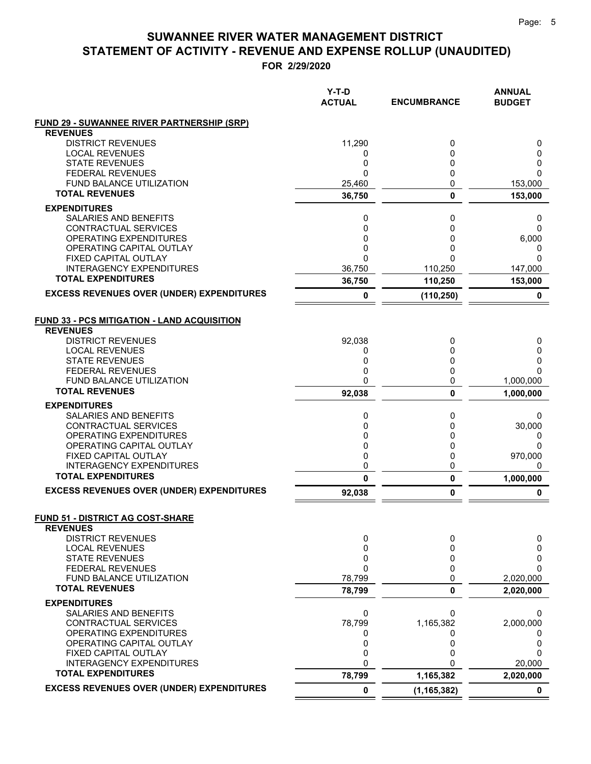**FOR 2/29/2020**

|                                                              | Y-T-D<br><b>ACTUAL</b> | <b>ENCUMBRANCE</b> | <b>ANNUAL</b><br><b>BUDGET</b> |
|--------------------------------------------------------------|------------------------|--------------------|--------------------------------|
| <b>FUND 29 - SUWANNEE RIVER PARTNERSHIP (SRP)</b>            |                        |                    |                                |
| <b>REVENUES</b>                                              |                        |                    |                                |
| <b>DISTRICT REVENUES</b>                                     | 11,290                 | 0                  | 0                              |
| <b>LOCAL REVENUES</b><br><b>STATE REVENUES</b>               | 0<br>0                 | 0<br>0             | 0<br>0                         |
| <b>FEDERAL REVENUES</b>                                      | $\mathbf{0}$           | 0                  | 0                              |
| <b>FUND BALANCE UTILIZATION</b>                              | 25,460                 | 0                  | 153,000                        |
| <b>TOTAL REVENUES</b>                                        | 36,750                 | 0                  | 153,000                        |
| <b>EXPENDITURES</b>                                          |                        |                    |                                |
| SALARIES AND BENEFITS                                        | 0                      | 0                  | 0                              |
| CONTRACTUAL SERVICES                                         | 0                      | 0                  | 0                              |
| OPERATING EXPENDITURES                                       | 0                      | 0                  | 6,000                          |
| OPERATING CAPITAL OUTLAY                                     | 0<br>0                 | 0<br>0             | 0<br>$\Omega$                  |
| FIXED CAPITAL OUTLAY<br><b>INTERAGENCY EXPENDITURES</b>      | 36,750                 | 110,250            | 147,000                        |
| <b>TOTAL EXPENDITURES</b>                                    | 36,750                 | 110,250            | 153,000                        |
| <b>EXCESS REVENUES OVER (UNDER) EXPENDITURES</b>             | 0                      | (110, 250)         | 0                              |
|                                                              |                        |                    |                                |
| <b>FUND 33 - PCS MITIGATION - LAND ACQUISITION</b>           |                        |                    |                                |
| <b>REVENUES</b>                                              |                        |                    |                                |
| <b>DISTRICT REVENUES</b><br><b>LOCAL REVENUES</b>            | 92,038<br>0            | 0<br>0             | 0<br>0                         |
| <b>STATE REVENUES</b>                                        | 0                      | 0                  | 0                              |
| <b>FEDERAL REVENUES</b>                                      | 0                      | 0                  | 0                              |
| <b>FUND BALANCE UTILIZATION</b>                              | 0                      | 0                  | 1,000,000                      |
| <b>TOTAL REVENUES</b>                                        | 92,038                 | 0                  | 1,000,000                      |
| <b>EXPENDITURES</b>                                          |                        |                    |                                |
| SALARIES AND BENEFITS                                        | 0                      | 0                  | 0                              |
| CONTRACTUAL SERVICES                                         | 0                      | 0                  | 30,000                         |
| OPERATING EXPENDITURES<br>OPERATING CAPITAL OUTLAY           | 0<br>0                 | 0<br>0             | 0<br>0                         |
| FIXED CAPITAL OUTLAY                                         | 0                      | 0                  | 970,000                        |
| <b>INTERAGENCY EXPENDITURES</b>                              | 0                      | 0                  | 0                              |
| <b>TOTAL EXPENDITURES</b>                                    | $\mathbf{0}$           | 0                  | 1,000,000                      |
| <b>EXCESS REVENUES OVER (UNDER) EXPENDITURES</b>             | 92,038                 | 0                  | 0                              |
|                                                              |                        |                    |                                |
| <b>FUND 51 - DISTRICT AG COST-SHARE</b><br><b>REVENUES</b>   |                        |                    |                                |
| <b>DISTRICT REVENUES</b>                                     | 0                      | 0                  | 0                              |
| <b>LOCAL REVENUES</b>                                        | 0                      | 0                  | 0                              |
| <b>STATE REVENUES</b>                                        | 0                      | 0                  | 0                              |
| <b>FEDERAL REVENUES</b>                                      | $\mathbf{0}$           | $\mathbf{0}$       | 0                              |
| FUND BALANCE UTILIZATION<br><b>TOTAL REVENUES</b>            | 78,799                 | 0                  | 2,020,000                      |
| <b>EXPENDITURES</b>                                          | 78,799                 | 0                  | 2,020,000                      |
| SALARIES AND BENEFITS                                        | 0                      | U                  | 0                              |
| <b>CONTRACTUAL SERVICES</b>                                  | 78,799                 | 1,165,382          | 2,000,000                      |
| OPERATING EXPENDITURES                                       | 0                      | 0                  | 0                              |
| OPERATING CAPITAL OUTLAY                                     | 0                      | 0                  | 0                              |
| FIXED CAPITAL OUTLAY                                         | 0                      | 0                  | 0                              |
| <b>INTERAGENCY EXPENDITURES</b><br><b>TOTAL EXPENDITURES</b> | 0<br>78,799            | U<br>1,165,382     | 20,000<br>2,020,000            |
| <b>EXCESS REVENUES OVER (UNDER) EXPENDITURES</b>             | 0                      |                    | 0                              |
|                                                              |                        | (1, 165, 382)      |                                |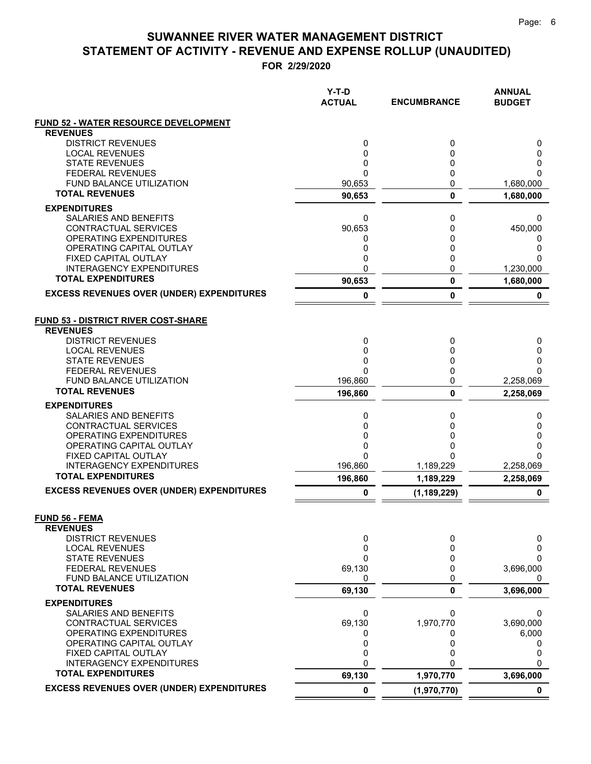**FOR 2/29/2020**

|                                                              | Y-T-D<br><b>ACTUAL</b> | <b>ENCUMBRANCE</b> | <b>ANNUAL</b><br><b>BUDGET</b> |
|--------------------------------------------------------------|------------------------|--------------------|--------------------------------|
| <b>FUND 52 - WATER RESOURCE DEVELOPMENT</b>                  |                        |                    |                                |
| <b>REVENUES</b>                                              |                        |                    |                                |
| <b>DISTRICT REVENUES</b><br><b>LOCAL REVENUES</b>            | 0<br>$\mathbf 0$       | 0<br>0             | 0<br>0                         |
| <b>STATE REVENUES</b>                                        | 0                      | 0                  | 0                              |
| <b>FEDERAL REVENUES</b>                                      | $\mathbf{0}$           | 0                  | 0                              |
| <b>FUND BALANCE UTILIZATION</b>                              | 90,653                 | 0                  | 1,680,000                      |
| <b>TOTAL REVENUES</b>                                        | 90,653                 | 0                  | 1,680,000                      |
| <b>EXPENDITURES</b>                                          |                        |                    |                                |
| <b>SALARIES AND BENEFITS</b>                                 | 0                      | 0                  | 0                              |
| CONTRACTUAL SERVICES<br><b>OPERATING EXPENDITURES</b>        | 90,653<br>0            | 0<br>0             | 450,000<br>0                   |
| OPERATING CAPITAL OUTLAY                                     | 0                      | 0                  | 0                              |
| <b>FIXED CAPITAL OUTLAY</b>                                  | 0                      | 0                  | 0                              |
| <b>INTERAGENCY EXPENDITURES</b>                              | 0                      | 0                  | 1,230,000                      |
| <b>TOTAL EXPENDITURES</b>                                    | 90,653                 | 0                  | 1,680,000                      |
| <b>EXCESS REVENUES OVER (UNDER) EXPENDITURES</b>             | 0                      | 0                  | 0                              |
| <b>FUND 53 - DISTRICT RIVER COST-SHARE</b>                   |                        |                    |                                |
| <b>REVENUES</b>                                              |                        |                    |                                |
| <b>DISTRICT REVENUES</b><br><b>LOCAL REVENUES</b>            | 0<br>$\mathbf 0$       | 0<br>0             | 0<br>0                         |
| <b>STATE REVENUES</b>                                        | 0                      | 0                  | 0                              |
| <b>FEDERAL REVENUES</b>                                      | $\Omega$               | 0                  | 0                              |
| <b>FUND BALANCE UTILIZATION</b>                              | 196,860                | 0                  | 2,258,069                      |
| <b>TOTAL REVENUES</b>                                        | 196,860                | 0                  | 2,258,069                      |
| <b>EXPENDITURES</b>                                          |                        |                    |                                |
| SALARIES AND BENEFITS<br>CONTRACTUAL SERVICES                | 0<br>0                 | 0<br>0             | 0<br>0                         |
| OPERATING EXPENDITURES                                       | 0                      | 0                  | 0                              |
| OPERATING CAPITAL OUTLAY                                     | 0                      | 0                  | 0                              |
| FIXED CAPITAL OUTLAY                                         | 0                      | O                  | $\Omega$                       |
| <b>INTERAGENCY EXPENDITURES</b><br><b>TOTAL EXPENDITURES</b> | 196,860                | 1,189,229          | 2,258,069                      |
|                                                              | 196,860                | 1,189,229          | 2,258,069                      |
| <b>EXCESS REVENUES OVER (UNDER) EXPENDITURES</b>             | 0                      | (1, 189, 229)      | $\mathbf 0$                    |
| <b>FUND 56 - FEMA</b><br><b>REVENUES</b>                     |                        |                    |                                |
| <b>DISTRICT REVENUES</b>                                     | 0                      | 0                  | 0                              |
| <b>LOCAL REVENUES</b>                                        | 0                      | 0                  | 0                              |
| <b>STATE REVENUES</b>                                        | 0                      | 0                  | 0                              |
| <b>FEDERAL REVENUES</b>                                      | 69,130                 | 0                  | 3,696,000                      |
| FUND BALANCE UTILIZATION<br><b>TOTAL REVENUES</b>            | 0                      | 0                  | 0                              |
|                                                              | 69,130                 | 0                  | 3,696,000                      |
| <b>EXPENDITURES</b><br>SALARIES AND BENEFITS                 | 0                      | 0                  | 0                              |
| <b>CONTRACTUAL SERVICES</b>                                  | 69,130                 | 1,970,770          | 3,690,000                      |
| OPERATING EXPENDITURES                                       | 0                      | 0                  | 6,000                          |
| OPERATING CAPITAL OUTLAY                                     | 0                      | 0                  | 0                              |
| FIXED CAPITAL OUTLAY                                         | 0                      | 0                  | 0                              |
| <b>INTERAGENCY EXPENDITURES</b><br><b>TOTAL EXPENDITURES</b> | $\mathbf 0$            | U                  | $\Omega$                       |
| <b>EXCESS REVENUES OVER (UNDER) EXPENDITURES</b>             | 69,130                 | 1,970,770          | 3,696,000                      |
|                                                              | $\pmb{0}$              | (1,970,770)        | $\mathbf 0$                    |

 $=$  $\equiv$   $=$   $=$